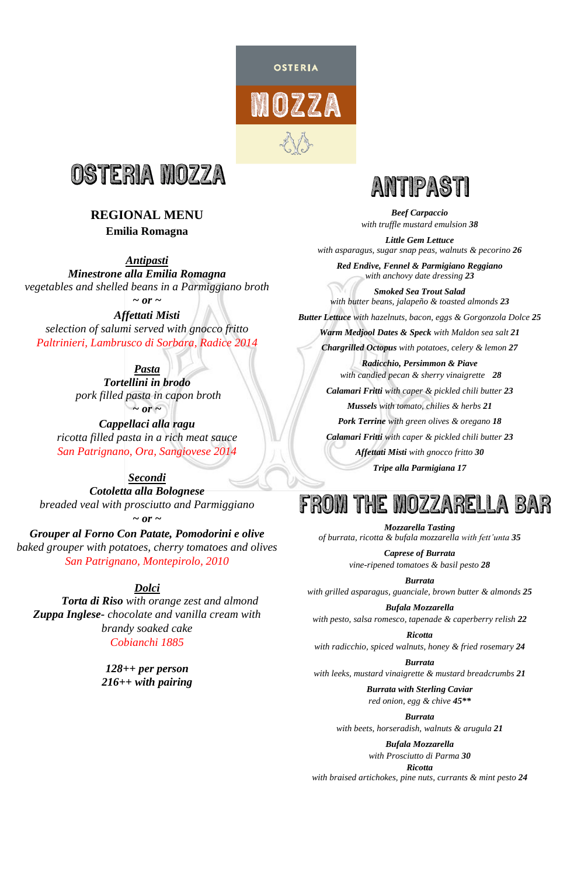

## **REGIONAL MENU**

*Antipasti Minestrone alla Emilia Romagna vegetables and shelled beans in a Parmiggiano broth*   $\sim$  or  $\sim$ 

### **Emilia Romagna**

*Pasta Tortellini in brodo pork filled pasta in capon broth*   $\sim$  or  $\sim$ 

*Affettati Misti selection of salumi served with gnocco fritto Paltrinieri, Lambrusco di Sorbara, Radice 2014*

*Cappellaci alla ragu ricotta filled pasta in a rich meat sauce San Patrignano, Ora, Sangiovese 2014*

*Secondi Cotoletta alla Bolognese breaded veal with prosciutto and Parmiggiano*

*~ or ~ Grouper al Forno Con Patate, Pomodorini e olive baked grouper with potatoes, cherry tomatoes and olives San Patrignano, Montepirolo, 2010*

## *Dolci*

*Torta di Riso with orange zest and almond Zuppa Inglese- chocolate and vanilla cream with brandy soaked cake Cobianchi 1885*



**OSTERIA** 

MOZZA

*128++ per person 216++ with pairing*

*Beef Carpaccio with truffle mustard emulsion 38*

*Little Gem Lettuce with asparagus, sugar snap peas, walnuts & pecorino 26*

*Red Endive, Fennel & Parmigiano Reggiano with anchovy date dressing 23*

*Smoked Sea Trout Salad with butter beans, jalapeño & toasted almonds 23*

*Butter Lettuce with hazelnuts, bacon, eggs & Gorgonzola Dolce 25*

*Warm Medjool Dates & Speck with Maldon sea salt 21*

*Chargrilled Octopus with potatoes, celery & lemon 27*

*Radicchio, Persimmon & Piave with candied pecan & sherry vinaigrette 28 Calamari Fritti with caper & pickled chili butter 23 Mussels with tomato, chilies & herbs 21 Pork Terrine with green olives & oregano 18 Calamari Fritti with caper & pickled chili butter 23 Affettati Misti with gnocco fritto 30 Tripe alla Parmigiana 17*

# FROM THE MOZZARELLA BAR

*Mozzarella Tasting of burrata, ricotta & bufala mozzarella with fett'unta 35*

> *Caprese of Burrata vine-ripened tomatoes & basil pesto 28*

*Burrata with grilled asparagus, guanciale, brown butter & almonds 25*

*Bufala Mozzarella with pesto, salsa romesco, tapenade & caperberry relish 22*

*Ricotta*

*with radicchio, spiced walnuts, honey & fried rosemary 24*

#### *Burrata*

*with leeks, mustard vinaigrette & mustard breadcrumbs 21*

*Burrata with Sterling Caviar*

*red onion, egg & chive 45\*\**

#### *Burrata*

*with beets, horseradish, walnuts & arugula 21*

#### *Bufala Mozzarella*

*with Prosciutto di Parma 30*

#### *Ricotta*

*with braised artichokes, pine nuts, currants & mint pesto 24*